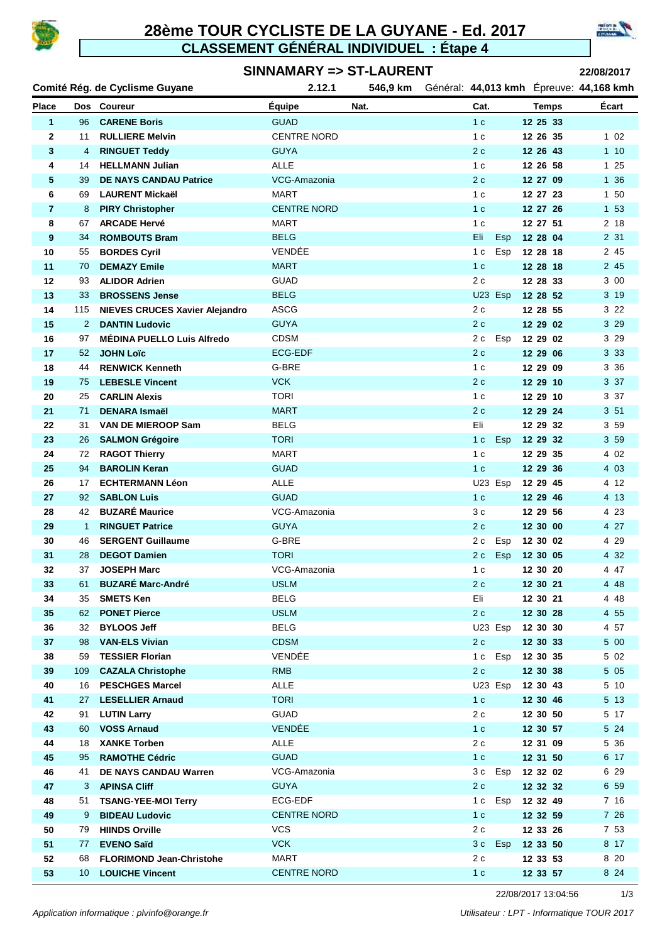

### **28ème TOUR CYCLISTE DE LA GUYANE - Ed. 2017 CLASSEMENT GÉNÉRAL INDIVIDUEL : Étape 4**



#### **SINNAMARY => ST-LAURENT**

**22/08/2017**

| Comité Rég. de Cyclisme Guyane |              | 2.12.1                                           | 546,9 km                 |      |                       | Général: 44,013 kmh Épreuve: 44,168 kmh |               |
|--------------------------------|--------------|--------------------------------------------------|--------------------------|------|-----------------------|-----------------------------------------|---------------|
| <b>Place</b>                   |              | Dos Coureur                                      | <b>Équipe</b>            | Nat. | Cat.                  | <b>Temps</b>                            | Écart         |
| 1                              | 96           | <b>CARENE Boris</b>                              | <b>GUAD</b>              |      | 1 <sub>c</sub>        | 12 25 33                                |               |
| 2                              | 11           | <b>RULLIERE Melvin</b>                           | <b>CENTRE NORD</b>       |      | 1 <sub>c</sub>        | 12 26 35                                | 102           |
| 3                              | 4            | <b>RINGUET Teddy</b>                             | <b>GUYA</b>              |      | 2c                    | 12 26 43                                | 110           |
| 4                              | 14           | <b>HELLMANN Julian</b>                           | <b>ALLE</b>              |      | 1 <sub>c</sub>        | 12 26 58                                | 125           |
| 5                              | 39           | <b>DE NAYS CANDAU Patrice</b>                    | VCG-Amazonia             |      | 2c                    | 12 27 09                                | 1 36          |
| 6                              | 69           | <b>LAURENT Mickaël</b>                           | <b>MART</b>              |      | 1 <sub>c</sub>        | 12 27 23                                | 1 50          |
| $\overline{7}$                 | 8            | <b>PIRY Christopher</b>                          | <b>CENTRE NORD</b>       |      | 1 <sub>c</sub>        | 12 27 26                                | 1 53          |
| 8                              | 67           | <b>ARCADE Hervé</b>                              | MART                     |      | 1 <sub>c</sub>        | 12 27 51                                | 2 18          |
| 9                              | 34           | <b>ROMBOUTS Bram</b>                             | <b>BELG</b>              |      | Eli<br><b>Esp</b>     | 12 28 04                                | 2 31          |
| 10                             | 55           | <b>BORDES Cyril</b>                              | VENDÉE                   |      | 1 <sub>c</sub><br>Esp | 12 28 18                                | 2 45          |
| 11                             | 70           | <b>DEMAZY Emile</b>                              | <b>MART</b>              |      | 1 <sub>c</sub>        | 12 28 18                                | 2 45          |
| 12                             | 93           | <b>ALIDOR Adrien</b>                             | <b>GUAD</b>              |      | 2c                    | 12 28 33                                | 3 00          |
| 13                             | 33           | <b>BROSSENS Jense</b>                            | <b>BELG</b>              |      | U23 Esp               | 12 28 52                                | 3 19          |
| 14                             | 115          | <b>NIEVES CRUCES Xavier Alejandro</b>            | ASCG                     |      | 2c                    | 12 28 55                                | 3 2 2         |
| 15                             | 2            | <b>DANTIN Ludovic</b>                            | <b>GUYA</b>              |      | 2c                    | 12 29 02                                | 3 2 9         |
| 16                             | 97           | <b>MÉDINA PUELLO Luis Alfredo</b>                | <b>CDSM</b>              |      | 2 c Esp               | 12 29 02                                | 3 2 9         |
| 17                             | 52           | <b>JOHN Loïc</b>                                 | ECG-EDF                  |      | 2c                    | 12 29 06                                | 3 3 3         |
| 18                             | 44           | <b>RENWICK Kenneth</b><br><b>LEBESLE Vincent</b> | G-BRE<br><b>VCK</b>      |      | 1 <sub>c</sub><br>2c  | 12 29 09                                | 3 3 6<br>3 37 |
| 19<br>20                       | 75<br>25     | <b>CARLIN Alexis</b>                             | <b>TORI</b>              |      | 1 c                   | 12 29 10<br>12 29 10                    | 3 37          |
| 21                             | 71           | <b>DENARA Ismaël</b>                             | <b>MART</b>              |      | 2c                    | 12 29 24                                | 351           |
| 22                             | 31           | <b>VAN DE MIEROOP Sam</b>                        | <b>BELG</b>              |      | Eli                   | 12 29 32                                | 3 5 9         |
| 23                             | 26           | <b>SALMON Grégoire</b>                           | <b>TORI</b>              |      | 1 <sup>c</sup><br>Esp | 12 29 32                                | 3 5 9         |
| 24                             | 72           | <b>RAGOT Thierry</b>                             | <b>MART</b>              |      | 1 <sub>c</sub>        | 12 29 35                                | 4 0 2         |
| 25                             | 94           | <b>BAROLIN Keran</b>                             | <b>GUAD</b>              |      | 1 <sub>c</sub>        | 12 29 36                                | 4 0 3         |
| 26                             | 17           | <b>ECHTERMANN Léon</b>                           | ALLE                     |      | U23 Esp               | 12 29 45                                | 4 12          |
| 27                             | 92           | <b>SABLON Luis</b>                               | <b>GUAD</b>              |      | 1 <sub>c</sub>        | 12 29 46                                | 4 13          |
| 28                             | 42           | <b>BUZARÉ Maurice</b>                            | VCG-Amazonia             |      | 3 c                   | 12 29 56                                | 4 2 3         |
| 29                             | $\mathbf{1}$ | <b>RINGUET Patrice</b>                           | <b>GUYA</b>              |      | 2c                    | 12 30 00                                | 4 27          |
| 30                             | 46           | <b>SERGENT Guillaume</b>                         | G-BRE                    |      | Esp<br>2 c            | 12 30 02                                | 4 29          |
| 31                             | 28           | <b>DEGOT Damien</b>                              | <b>TORI</b>              |      | Esp<br>2 c            | 12 30 05                                | 4 32          |
| 32                             | 37           | <b>JOSEPH Marc</b>                               | VCG-Amazonia             |      | 1 <sub>c</sub>        | 12 30 20                                | 447           |
| 33                             |              | 61 BUZARÉ Marc-André                             | <b>USLM</b>              |      | $2\,c$                | 12 30 21                                | 4 4 8         |
| 34                             | 35           | <b>SMETS Ken</b>                                 | <b>BELG</b>              |      | Eli                   | 12 30 21                                | 4 48          |
| 35                             | 62           | <b>PONET Pierce</b>                              | <b>USLM</b>              |      | 2c                    | 12 30 28                                | 4 5 5         |
| 36                             | 32           | <b>BYLOOS Jeff</b>                               | <b>BELG</b>              |      | U23 Esp               | 12 30 30                                | 4 57          |
| 37                             | 98           | <b>VAN-ELS Vivian</b>                            | <b>CDSM</b>              |      | 2 c                   | 12 30 33                                | 5 00          |
| 38                             | 59           | <b>TESSIER Florian</b>                           | VENDÉE                   |      | 1 <sup>c</sup><br>Esp | 12 30 35                                | 5 0 2         |
| 39                             | 109          | <b>CAZALA Christophe</b>                         | <b>RMB</b>               |      | 2c                    | 12 30 38                                | 5 0 5         |
| 40                             | 16           | <b>PESCHGES Marcel</b>                           | <b>ALLE</b>              |      | U23 Esp               | 12 30 43                                | 5 10          |
| 41                             | 27           | <b>LESELLIER Arnaud</b>                          | <b>TORI</b>              |      | 1 <sub>c</sub>        | 12 30 46                                | 5 13          |
| 42                             | 91           | <b>LUTIN Larry</b>                               | <b>GUAD</b>              |      | 2 c                   | 12 30 50                                | 5 17          |
| 43                             | 60           | <b>VOSS Arnaud</b>                               | VENDÉE                   |      | 1 c                   | 12 30 57                                | 5 24          |
| 44                             | 18           | <b>XANKE Torben</b>                              | ALLE                     |      | 2c                    | 12 31 09                                | 5 36          |
| 45                             | 95           | <b>RAMOTHE Cédric</b>                            | <b>GUAD</b>              |      | 1 <sub>c</sub>        | 12 31 50                                | 6 17          |
| 46                             | 41           | DE NAYS CANDAU Warren                            | VCG-Amazonia             |      | 3c Esp                | 12 32 02                                | 6 29          |
| 47                             | 3.           | <b>APINSA Cliff</b>                              | <b>GUYA</b>              |      | 2c                    | 12 32 32                                | 6 59          |
| 48                             | 51           | <b>TSANG-YEE-MOI Terry</b>                       | ECG-EDF                  |      | 1c Esp                | 12 32 49                                | 7 16          |
| 49                             | 9            | <b>BIDEAU Ludovic</b>                            | <b>CENTRE NORD</b>       |      | 1 <sub>c</sub>        | 12 32 59                                | 7 26          |
| 50<br>51                       | 79           | <b>HIINDS Orville</b><br><b>EVENO Saïd</b>       | <b>VCS</b><br><b>VCK</b> |      | 2 c<br>3c<br>Esp      | 12 33 26<br>12 33 50                    | 7 53<br>8 17  |
| 52                             | 77<br>68     | <b>FLORIMOND Jean-Christohe</b>                  | <b>MART</b>              |      | 2c                    | 12 33 53                                | 8 20          |
| 53                             |              | 10 LOUICHE Vincent                               | <b>CENTRE NORD</b>       |      | 1 <sub>c</sub>        | 12 33 57                                | 8 2 4         |
|                                |              |                                                  |                          |      |                       |                                         |               |

22/08/2017 13:04:56 1/3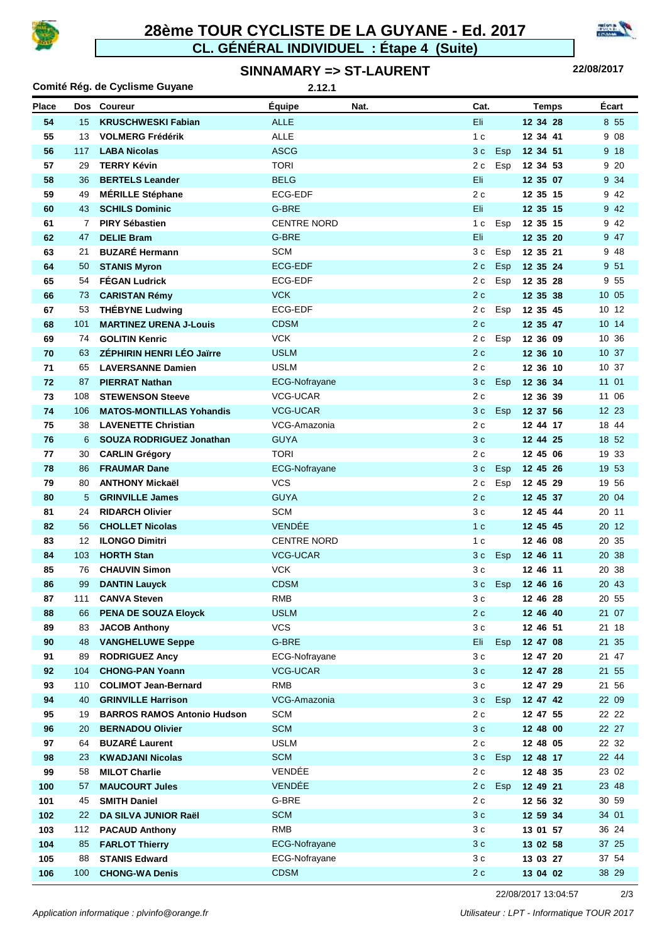

# **CL. GÉNÉRAL INDIVIDUEL : Étape 4 (Suite) 28ème TOUR CYCLISTE DE LA GUYANE - Ed. 2017**



#### **SINNAMARY => ST-LAURENT**

**22/08/2017**

| Comité Rég. de Cyclisme Guyane<br>2.12.1 |          |                                                  |                             |      |                                  |            |                      |       |                |       |
|------------------------------------------|----------|--------------------------------------------------|-----------------------------|------|----------------------------------|------------|----------------------|-------|----------------|-------|
| <b>Place</b>                             |          | Dos Coureur                                      | <b>Équipe</b>               | Nat. | Cat.                             |            |                      | Temps | Écart          |       |
| 54                                       | 15       | <b>KRUSCHWESKI Fabian</b>                        | <b>ALLE</b>                 |      | Eli                              |            | 12 34 28             |       |                | 8 5 5 |
| 55                                       | 13       | <b>VOLMERG Frédérik</b>                          | <b>ALLE</b>                 |      | 1 <sub>c</sub>                   |            | 12 34 41             |       |                | 9 08  |
| 56                                       | 117      | <b>LABA Nicolas</b>                              | <b>ASCG</b>                 |      | 3c                               | <b>Esp</b> | 12 34 51             |       |                | 9 18  |
| 57                                       | 29       | <b>TERRY Kévin</b>                               | <b>TORI</b>                 |      | 2 c                              | Esp        | 12 34 53             |       |                | 9 20  |
| 58                                       | 36       | <b>BERTELS Leander</b>                           | <b>BELG</b>                 |      | Eli                              |            | 12 35 07             |       |                | 9 34  |
| 59                                       | 49       | <b>MÉRILLE Stéphane</b>                          | ECG-EDF                     |      | 2 c                              |            | 12 35 15             |       |                | 9 42  |
| 60                                       | 43       | <b>SCHILS Dominic</b>                            | G-BRE                       |      | Eli                              |            | 12 35 15             |       |                | 9 4 2 |
| 61                                       | 7        | <b>PIRY Sébastien</b>                            | <b>CENTRE NORD</b>          |      | 1 <sub>c</sub>                   | Esp        | 12 35 15             |       |                | 9 42  |
| 62                                       | 47       | <b>DELIE Bram</b>                                | G-BRE                       |      | Eli                              |            | 12 35 20             |       |                | 9 47  |
| 63                                       | 21       | <b>BUZARÉ Hermann</b>                            | <b>SCM</b>                  |      | 3 c                              | Esp        | 12 35 21             |       |                | 9 48  |
| 64                                       | 50       | <b>STANIS Myron</b>                              | <b>ECG-EDF</b>              |      | 2 c                              | Esp        | 12 35 24             |       |                | 9 51  |
| 65                                       | 54       | <b>FÉGAN Ludrick</b>                             | <b>ECG-EDF</b>              |      | 2c                               | Esp        | 12 35 28             |       |                | 9 55  |
| 66                                       | 73       | <b>CARISTAN Rémy</b>                             | <b>VCK</b>                  |      | 2c                               |            | 12 35 38             |       | 10 05          |       |
| 67                                       | 53       | <b>THÉBYNE Ludwing</b>                           | ECG-EDF                     |      | 2 c                              | Esp        | 12 35 45             |       | 10 12          |       |
| 68                                       | 101      | <b>MARTINEZ URENA J-Louis</b>                    | <b>CDSM</b>                 |      | 2c                               |            | 12 35 47             |       | 10 14          |       |
| 69                                       | 74       | <b>GOLITIN Kenric</b>                            | <b>VCK</b>                  |      | 2c                               | Esp        | 12 36 09             |       | 10 36          |       |
| 70                                       | 63       | <b>ZÉPHIRIN HENRI LÉO Jaïrre</b>                 | <b>USLM</b>                 |      | 2c                               |            | 12 36 10             |       | 10 37          |       |
| 71                                       | 65       | <b>LAVERSANNE Damien</b>                         | <b>USLM</b>                 |      | 2c                               |            | 12 36 10             |       | 10 37          |       |
| 72                                       | 87       | <b>PIERRAT Nathan</b>                            | ECG-Nofrayane               |      | 3c                               | Esp        | 12 36 34             |       | 11 01          |       |
| 73                                       | 108      | <b>STEWENSON Steeve</b>                          | VCG-UCAR                    |      | 2c                               |            | 12 36 39             |       | 11 06          |       |
| 74                                       | 106      | <b>MATOS-MONTILLAS Yohandis</b>                  | <b>VCG-UCAR</b>             |      | 3c                               | Esp        | 12 37 56             |       | 12 23          |       |
| 75                                       | 38       | <b>LAVENETTE Christian</b>                       | VCG-Amazonia                |      | 2 c                              |            | 12 44 17             |       | 18 44          |       |
| 76                                       | 6        | SOUZA RODRIGUEZ Jonathan                         | <b>GUYA</b>                 |      | 3c                               |            | 12 44 25             |       | 18 52          |       |
| 77                                       | 30       | <b>CARLIN Grégory</b>                            | <b>TORI</b>                 |      | 2 c                              |            | 12 45 06             |       | 19 33          |       |
| 78                                       | 86       | <b>FRAUMAR Dane</b>                              | ECG-Nofrayane               |      | 3c                               | Esp        | 12 45 26             |       | 19 53          |       |
| 79                                       | 80       | <b>ANTHONY Mickaël</b>                           | <b>VCS</b>                  |      | 2 c                              | Esp        | 12 45 29             |       | 19 56          |       |
| 80                                       | 5        | <b>GRINVILLE James</b>                           | <b>GUYA</b>                 |      | 2c                               |            | 12 45 37             |       | 20 04          |       |
| 81                                       | 24       | <b>RIDARCH Olivier</b><br><b>CHOLLET Nicolas</b> | <b>SCM</b><br><b>VENDÉE</b> |      | 3c                               |            | 12 45 44             |       | 20 11          |       |
| 82<br>83                                 | 56<br>12 | <b>ILONGO Dimitri</b>                            | <b>CENTRE NORD</b>          |      | 1 <sub>c</sub><br>1 <sub>c</sub> |            | 12 45 45<br>12 46 08 |       | 20 12<br>20 35 |       |
| 84                                       | 103      | <b>HORTH Stan</b>                                | <b>VCG-UCAR</b>             |      | 3c                               | Esp        | 12 46 11             |       | 20 38          |       |
| 85                                       | 76       | <b>CHAUVIN Simon</b>                             | <b>VCK</b>                  |      | 3c                               |            | 12 46 11             |       | 20 38          |       |
| 86                                       | 99       | <b>DANTIN Lauyck</b>                             | CDSM                        |      | 3c                               | Esp        | 12 46 16             |       | 20 43          |       |
| 87                                       | 111      | <b>CANVA Steven</b>                              | RMB                         |      | 3 c                              |            | 12 46 28             |       | 20 55          |       |
| 88                                       | 66       | <b>PENA DE SOUZA Eloyck</b>                      | <b>USLM</b>                 |      | 2c                               |            | 12 46 40             |       | 21 07          |       |
| 89                                       | 83       | <b>JACOB Anthony</b>                             | <b>VCS</b>                  |      | 3c                               |            | 12 46 51             |       | 21 18          |       |
| 90                                       | 48       | <b>VANGHELUWE Seppe</b>                          | G-BRE                       |      | Eli                              | Esp        | 12 47 08             |       | 21 35          |       |
| 91                                       | 89       | <b>RODRIGUEZ Ancy</b>                            | ECG-Nofrayane               |      | 3 c                              |            | 12 47 20             |       | 21 47          |       |
| 92                                       | 104      | <b>CHONG-PAN Yoann</b>                           | <b>VCG-UCAR</b>             |      | 3c                               |            | 12 47 28             |       | 21 55          |       |
| 93                                       | 110      | <b>COLIMOT Jean-Bernard</b>                      | RMB                         |      | 3c                               |            | 12 47 29             |       | 21 56          |       |
| 94                                       | 40       | <b>GRINVILLE Harrison</b>                        | VCG-Amazonia                |      | 3c                               | Esp        | 12 47 42             |       | 22 09          |       |
| 95                                       | 19       | <b>BARROS RAMOS Antonio Hudson</b>               | <b>SCM</b>                  |      | 2 c                              |            | 12 47 55             |       | 22 22          |       |
| 96                                       | 20       | <b>BERNADOU Olivier</b>                          | <b>SCM</b>                  |      | 3c                               |            | 12 48 00             |       | 22 27          |       |
| 97                                       | 64       | <b>BUZARÉ Laurent</b>                            | <b>USLM</b>                 |      | 2c                               |            | 12 48 05             |       | 22 32          |       |
| 98                                       | 23       | <b>KWADJANI Nicolas</b>                          | <b>SCM</b>                  |      | 3c                               | Esp        | 12 48 17             |       | 22 44          |       |
| 99                                       | 58       | <b>MILOT Charlie</b>                             | VENDÉE                      |      | 2c                               |            | 12 48 35             |       | 23 02          |       |
| 100                                      | 57       | <b>MAUCOURT Jules</b>                            | VENDÉE                      |      | 2c                               | Esp        | 12 49 21             |       | 23 48          |       |
| 101                                      | 45       | <b>SMITH Daniel</b>                              | G-BRE                       |      | 2c                               |            | 12 56 32             |       | 30 59          |       |
| 102                                      | 22       | DA SILVA JUNIOR Raël                             | <b>SCM</b>                  |      | 3c                               |            | 12 59 34             |       | 34 01          |       |
| 103                                      | 112      | <b>PACAUD Anthony</b>                            | <b>RMB</b>                  |      | 3c                               |            | 13 01 57             |       | 36 24          |       |
| 104                                      | 85       | <b>FARLOT Thierry</b>                            | ECG-Nofrayane               |      | 3c                               |            | 13 02 58             |       | 37 25          |       |
| 105                                      | 88       | <b>STANIS Edward</b>                             | ECG-Nofrayane               |      | 3c                               |            | 13 03 27             |       | 37 54          |       |
| 106                                      | 100      | <b>CHONG-WA Denis</b>                            | <b>CDSM</b>                 |      | 2 <sub>c</sub>                   |            | 13 04 02             |       | 38 29          |       |

22/08/2017 13:04:57 2/3